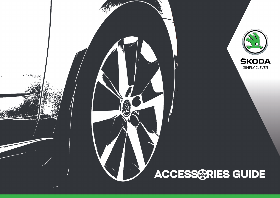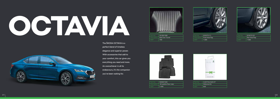| - Part No. | 5E3061580                     |
|------------|-------------------------------|
|            | Description   Mat Over Tunnel |
| <b>MRP</b> | - 799'                        |



| Part No.   | 5E3075111                    |
|------------|------------------------------|
|            | Description   Front Mud Flap |
| <b>MRP</b> | 1499                         |



| Part No. | 5E3075101                   |
|----------|-----------------------------|
|          | Description   Rear Mud Flap |
| MRP      | 1499                        |



| Part No.   | 5E8061500                            |
|------------|--------------------------------------|
|            | Description   All weather floor mats |
| <b>MRP</b> | 3499                                 |



# OCTAVIA



The ŠKODA OCTAVIA is a perfect blend of timeless elegance and superior power. With accessories that add to your comfort, this car gives you everything you need and more. An overachiever in all its endeavours, it's the companion you've been waiting for.

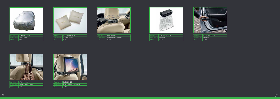

| Part No.                 | 5JR800OCT IND |
|--------------------------|---------------|
| Description   Body Cover |               |
| <b>MRP</b>               | 999           |



| Part No.   | $\parallel$ LOC084508 FOM    |
|------------|------------------------------|
|            | Description   Cushion Pillow |
| <b>MRP</b> | $ 1413\rangle$               |



| Part No.   | 3V0061127                           |
|------------|-------------------------------------|
|            | Description   Smart Holder - Hanger |
| <b>MRP</b> | 2 2 5 0                             |



| Part No.   | 3V0061126                         |
|------------|-----------------------------------|
|            | Description   Smart Holder - Hook |
| <b>MRP</b> | -999                              |



| l Part No. | 3V0 061 129                             |
|------------|-----------------------------------------|
|            | Description   Smart Holder - Multimedia |
| MRP        | 1946                                    |

| Part No.               | 000 087 600G 9B9 |
|------------------------|------------------|
| Description   Umbrella |                  |
| MRP                    | 2791             |

| Part No.                 | 5JA061107 9B9' |
|--------------------------|----------------|
| Description   Litter Bin |                |
| <b>MRP</b>               | 1 1 5 5        |



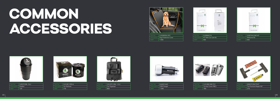| Part No.              | 5J507CORL DL2 |
|-----------------------|---------------|
| Description   Dustbin |               |
| <b>MRP</b>            | 129           |



## COMMON ACCESSORIES



| Part No.   | 5.15-07C-ORL--CL2           |
|------------|-----------------------------|
|            | Description   Car Organiser |
| <b>MRP</b> | 869                         |



| Part No. | 5.15-061-PER-A            |
|----------|---------------------------|
|          | Description   Car Perfume |
| MRP      | 216                       |



| Part No.   | 5J508MCCK                           |
|------------|-------------------------------------|
|            | Description   KIT Mini Car Care Kit |
| <b>MRP</b> | -499                                |

|          | $\Xi$ of<br>$\overline{\phantom{a}}$ |  |
|----------|--------------------------------------|--|
|          | Cor Cars Mini 43 - 210 ml            |  |
| Part No. | 5J507WLCME KIT                       |  |

| Part No.   | 5J507WLCME KIT            |
|------------|---------------------------|
|            | Description   Welcome Kit |
| <b>MRP</b> | 649'                      |



| Part No.   | 5J5080004 DPC                      |
|------------|------------------------------------|
|            | Description   Dog Protective Cover |
| <b>MRP</b> | 1999                               |







| Part No.   | 00007CORLTPKIT                          |
|------------|-----------------------------------------|
|            | Description   Tire Puncture Repair Kit* |
| <b>MRP</b> | 279                                     |

| Part No.   | 6.JM051443                |
|------------|---------------------------|
|            | Description   USB Charger |
| <b>MRP</b> | 1 3 9 9                   |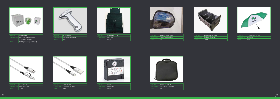| Part No.                | 5.1508AFSL 001 |
|-------------------------|----------------|
| Description   Trash Bag |                |
| MRP                     | 1 1 9 9        |



| Part No.   | 6JM093101                       |
|------------|---------------------------------|
|            | Description   Car Safety Hammer |
| <b>MRP</b> | 569                             |





| Part No.           | 5.J508PERF                                     |
|--------------------|------------------------------------------------|
| <b>Description</b> | BOT Car Perfume Bottle<br>(Crystalline Design) |
| <b>MRP</b>         | 1 099(Perfume), 279(Refill),                   |



| Part No.         | 6JM07CORLBTORG                   |
|------------------|----------------------------------|
|                  | Description   Car Boot Organiser |
| MRP <sup>1</sup> | 1 3 9 9                          |



| Part No.               | 000087600SKUMB |
|------------------------|----------------|
| Description   Umbrella |                |
| MRP                    | 699            |



| Part No.   | 6JM071211 ICB                        |
|------------|--------------------------------------|
|            | Description   Tyre Inflator Case Bag |
| <b>MRP</b> | 299                                  |

| Part No.   | 00007CORLWRFLM                     |
|------------|------------------------------------|
|            | Description   Water Repellent Film |
| <b>MRP</b> | 349                                |



| Part No. | 000051510S                    |
|----------|-------------------------------|
|          | Description   Dual Port Cable |
| MRP      | 1 2 9 9                       |



| Part No.   | 6JM051444                      |
|------------|--------------------------------|
|            | Description   USB C-type Cable |
| <b>MRP</b> | 349                            |



| Part No.   | 6JM071211                   |
|------------|-----------------------------|
|            | Description   Tyre Inflator |
| <b>MRP</b> | 2499                        |

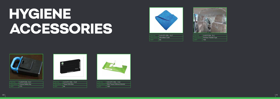| Part No.   | 5J5-07C-ORL- - CL7             |
|------------|--------------------------------|
|            | Description   Microfiber Cloth |
| <b>MRP</b> | -85                            |



| Part No. | 5J507CORL DL1                         |
|----------|---------------------------------------|
|          | Description   Partition Flexible Type |
| MRP      | 749                                   |

| Part No.   | 5J5-07C-ORL- -CL6                        |
|------------|------------------------------------------|
|            | Description   Wet Tissue Without Alcohol |
| <b>MRP</b> | 108                                      |







## HYGIENE ACCESSORIES



| Part No.   | 5J507CORL DL3                   |
|------------|---------------------------------|
|            | Description   Corona Safety Key |
| <b>MRP</b> | 1275                            |